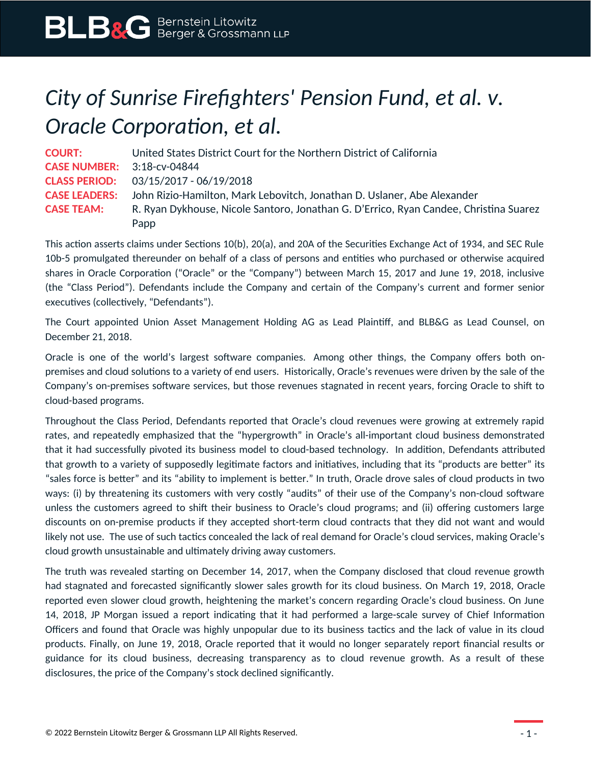## *City of Sunrise Firefighters' Pension Fund, et al. v. Oracle Corporation, et al.*

**COURT:** United States District Court for the Northern District of California **CASE NUMBER:** 3:18-cv-04844 **CLASS PERIOD:** 03/15/2017 - 06/19/2018 **CASE LEADERS:** John Rizio-Hamilton, Mark Lebovitch, Jonathan D. Uslaner, Abe Alexander **CASE TEAM:** R. Ryan Dykhouse, Nicole Santoro, Jonathan G. D'Errico, Ryan Candee, Christina Suarez Papp

This action asserts claims under Sections 10(b), 20(a), and 20A of the Securities Exchange Act of 1934, and SEC Rule 10b-5 promulgated thereunder on behalf of a class of persons and entities who purchased or otherwise acquired shares in Oracle Corporation ("Oracle" or the "Company") between March 15, 2017 and June 19, 2018, inclusive (the "Class Period"). Defendants include the Company and certain of the Company's current and former senior executives (collectively, "Defendants").

The Court appointed Union Asset Management Holding AG as Lead Plaintiff, and BLB&G as Lead Counsel, on December 21, 2018.

Oracle is one of the world's largest software companies. Among other things, the Company offers both onpremises and cloud solutions to a variety of end users. Historically, Oracle's revenues were driven by the sale of the Company's on-premises software services, but those revenues stagnated in recent years, forcing Oracle to shift to cloud-based programs.

Throughout the Class Period, Defendants reported that Oracle's cloud revenues were growing at extremely rapid rates, and repeatedly emphasized that the "hypergrowth" in Oracle's all-important cloud business demonstrated that it had successfully pivoted its business model to cloud-based technology. In addition, Defendants attributed that growth to a variety of supposedly legitimate factors and initiatives, including that its "products are better" its "sales force is better" and its "ability to implement is better." In truth, Oracle drove sales of cloud products in two ways: (i) by threatening its customers with very costly "audits" of their use of the Company's non-cloud software unless the customers agreed to shift their business to Oracle's cloud programs; and (ii) offering customers large discounts on on-premise products if they accepted short-term cloud contracts that they did not want and would likely not use. The use of such tactics concealed the lack of real demand for Oracle's cloud services, making Oracle's cloud growth unsustainable and ultimately driving away customers.

The truth was revealed starting on December 14, 2017, when the Company disclosed that cloud revenue growth had stagnated and forecasted significantly slower sales growth for its cloud business. On March 19, 2018, Oracle reported even slower cloud growth, heightening the market's concern regarding Oracle's cloud business. On June 14, 2018, JP Morgan issued a report indicating that it had performed a large-scale survey of Chief Information Officers and found that Oracle was highly unpopular due to its business tactics and the lack of value in its cloud products. Finally, on June 19, 2018, Oracle reported that it would no longer separately report financial results or guidance for its cloud business, decreasing transparency as to cloud revenue growth. As a result of these disclosures, the price of the Company's stock declined significantly.